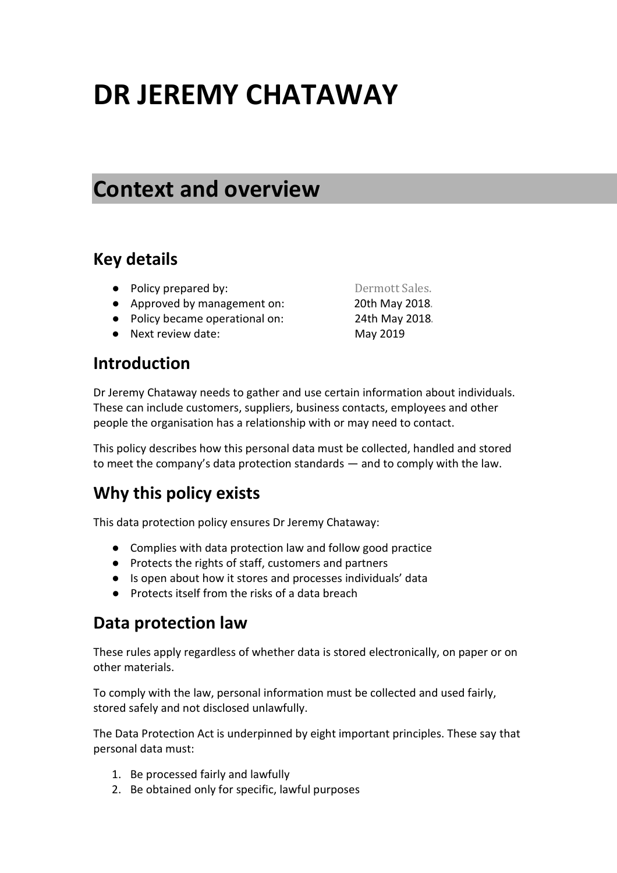# **DR JEREMY CHATAWAY**

# **Context and overview**

#### **Key details**

- Policy prepared by: Dermott Sales.
- Approved by management on: 20th May 2018.
- Policy became operational on: 24th May 2018.
- Next review date: May 2019

#### **Introduction**

Dr Jeremy Chataway needs to gather and use certain information about individuals. These can include customers, suppliers, business contacts, employees and other people the organisation has a relationship with or may need to contact.

This policy describes how this personal data must be collected, handled and stored to meet the company's data protection standards — and to comply with the law.

# **Why this policy exists**

This data protection policy ensures Dr Jeremy Chataway:

- Complies with data protection law and follow good practice
- Protects the rights of staff, customers and partners
- Is open about how it stores and processes individuals' data
- Protects itself from the risks of a data breach

#### **Data protection law**

These rules apply regardless of whether data is stored electronically, on paper or on other materials.

To comply with the law, personal information must be collected and used fairly, stored safely and not disclosed unlawfully.

The Data Protection Act is underpinned by eight important principles. These say that personal data must:

- 1. Be processed fairly and lawfully
- 2. Be obtained only for specific, lawful purposes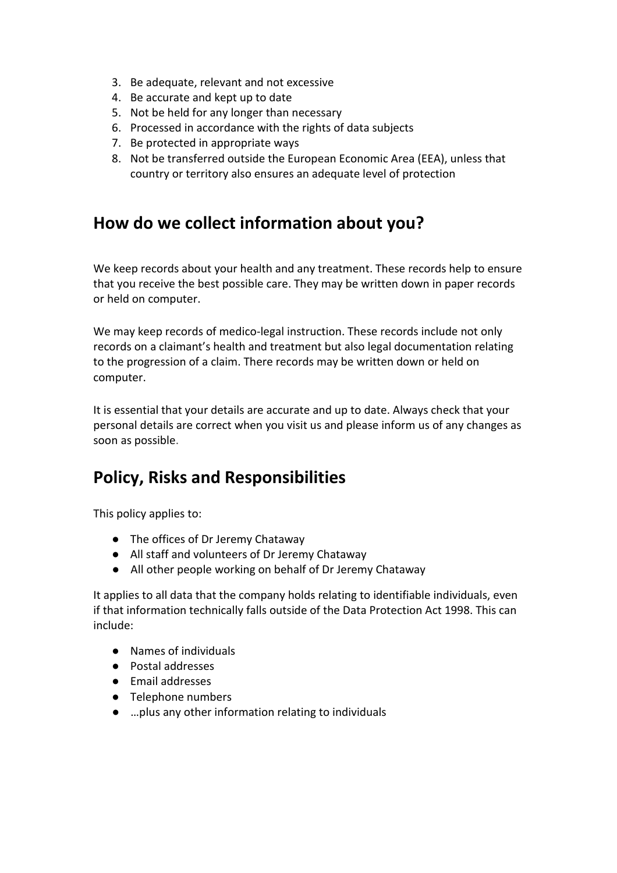- 3. Be adequate, relevant and not excessive
- 4. Be accurate and kept up to date
- 5. Not be held for any longer than necessary
- 6. Processed in accordance with the rights of data subjects
- 7. Be protected in appropriate ways
- 8. Not be transferred outside the European Economic Area (EEA), unless that country or territory also ensures an adequate level of protection

#### **How do we collect information about you?**

We keep records about your health and any treatment. These records help to ensure that you receive the best possible care. They may be written down in paper records or held on computer.

We may keep records of medico-legal instruction. These records include not only records on a claimant's health and treatment but also legal documentation relating to the progression of a claim. There records may be written down or held on computer.

It is essential that your details are accurate and up to date. Always check that your personal details are correct when you visit us and please inform us of any changes as soon as possible.

# **Policy, Risks and Responsibilities**

This policy applies to:

- The offices of Dr Jeremy Chataway
- All staff and volunteers of Dr Jeremy Chataway
- All other people working on behalf of Dr Jeremy Chataway

It applies to all data that the company holds relating to identifiable individuals, even if that information technically falls outside of the Data Protection Act 1998. This can include:

- Names of individuals
- Postal addresses
- Email addresses
- Telephone numbers
- …plus any other information relating to individuals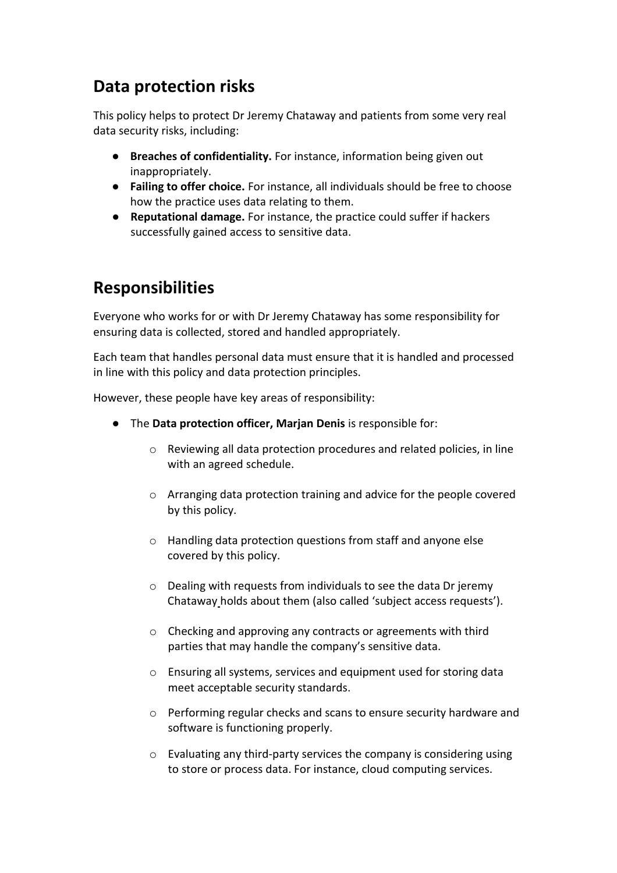## **Data protection risks**

This policy helps to protect Dr Jeremy Chataway and patients from some very real data security risks, including:

- **Breaches of confidentiality.** For instance, information being given out inappropriately.
- **Failing to offer choice.** For instance, all individuals should be free to choose how the practice uses data relating to them.
- **Reputational damage.** For instance, the practice could suffer if hackers successfully gained access to sensitive data.

# **Responsibilities**

Everyone who works for or with Dr Jeremy Chataway has some responsibility for ensuring data is collected, stored and handled appropriately.

Each team that handles personal data must ensure that it is handled and processed in line with this policy and data protection principles.

However, these people have key areas of responsibility:

- The **Data protection officer, Marjan Denis** is responsible for:
	- o Reviewing all data protection procedures and related policies, in line with an agreed schedule.
	- o Arranging data protection training and advice for the people covered by this policy.
	- o Handling data protection questions from staff and anyone else covered by this policy.
	- o Dealing with requests from individuals to see the data Dr jeremy Chataway holds about them (also called 'subject access requests').
	- o Checking and approving any contracts or agreements with third parties that may handle the company's sensitive data.
	- o Ensuring all systems, services and equipment used for storing data meet acceptable security standards.
	- o Performing regular checks and scans to ensure security hardware and software is functioning properly.
	- o Evaluating any third-party services the company is considering using to store or process data. For instance, cloud computing services.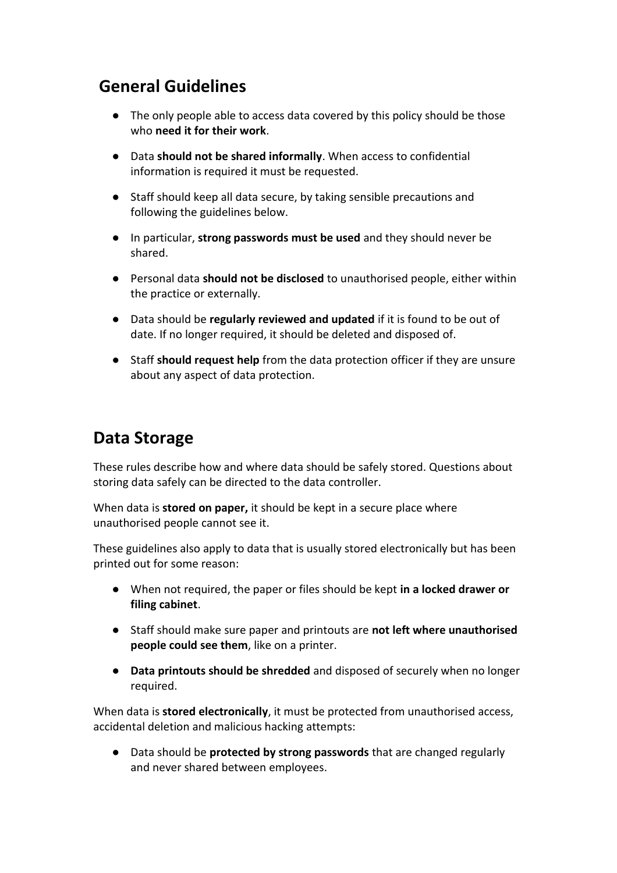# **General Guidelines**

- The only people able to access data covered by this policy should be those who **need it for their work**.
- Data **should not be shared informally**. When access to confidential information is required it must be requested.
- Staff should keep all data secure, by taking sensible precautions and following the guidelines below.
- In particular, **strong passwords must be used** and they should never be shared.
- Personal data **should not be disclosed** to unauthorised people, either within the practice or externally.
- Data should be **regularly reviewed and updated** if it is found to be out of date. If no longer required, it should be deleted and disposed of.
- Staff **should request help** from the data protection officer if they are unsure about any aspect of data protection.

# **Data Storage**

These rules describe how and where data should be safely stored. Questions about storing data safely can be directed to the data controller.

When data is **stored on paper,** it should be kept in a secure place where unauthorised people cannot see it.

These guidelines also apply to data that is usually stored electronically but has been printed out for some reason:

- When not required, the paper or files should be kept **in a locked drawer or filing cabinet**.
- Staff should make sure paper and printouts are **not left where unauthorised people could see them**, like on a printer.
- **Data printouts should be shredded** and disposed of securely when no longer required.

When data is **stored electronically**, it must be protected from unauthorised access, accidental deletion and malicious hacking attempts:

● Data should be **protected by strong passwords** that are changed regularly and never shared between employees.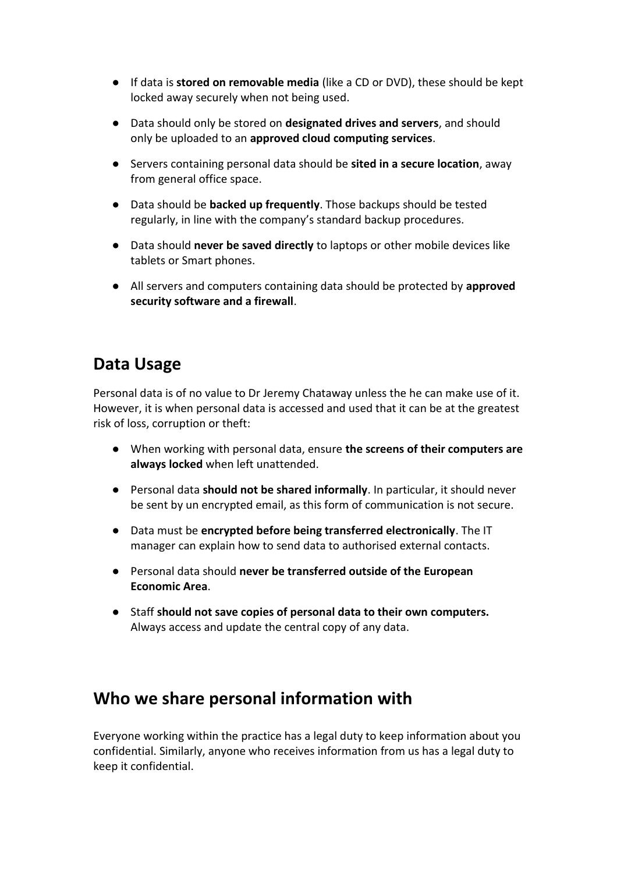- If data is **stored on removable media** (like a CD or DVD), these should be kept locked away securely when not being used.
- Data should only be stored on **designated drives and servers**, and should only be uploaded to an **approved cloud computing services**.
- Servers containing personal data should be **sited in a secure location**, away from general office space.
- Data should be **backed up frequently**. Those backups should be tested regularly, in line with the company's standard backup procedures.
- Data should **never be saved directly** to laptops or other mobile devices like tablets or Smart phones.
- All servers and computers containing data should be protected by **approved security software and a firewall**.

# **Data Usage**

Personal data is of no value to Dr Jeremy Chataway unless the he can make use of it. However, it is when personal data is accessed and used that it can be at the greatest risk of loss, corruption or theft:

- When working with personal data, ensure **the screens of their computers are always locked** when left unattended.
- Personal data **should not be shared informally**. In particular, it should never be sent by un encrypted email, as this form of communication is not secure.
- Data must be **encrypted before being transferred electronically**. The IT manager can explain how to send data to authorised external contacts.
- Personal data should **never be transferred outside of the European Economic Area**.
- Staff **should not save copies of personal data to their own computers.**  Always access and update the central copy of any data.

#### **Who we share personal information with**

Everyone working within the practice has a legal duty to keep information about you confidential. Similarly, anyone who receives information from us has a legal duty to keep it confidential.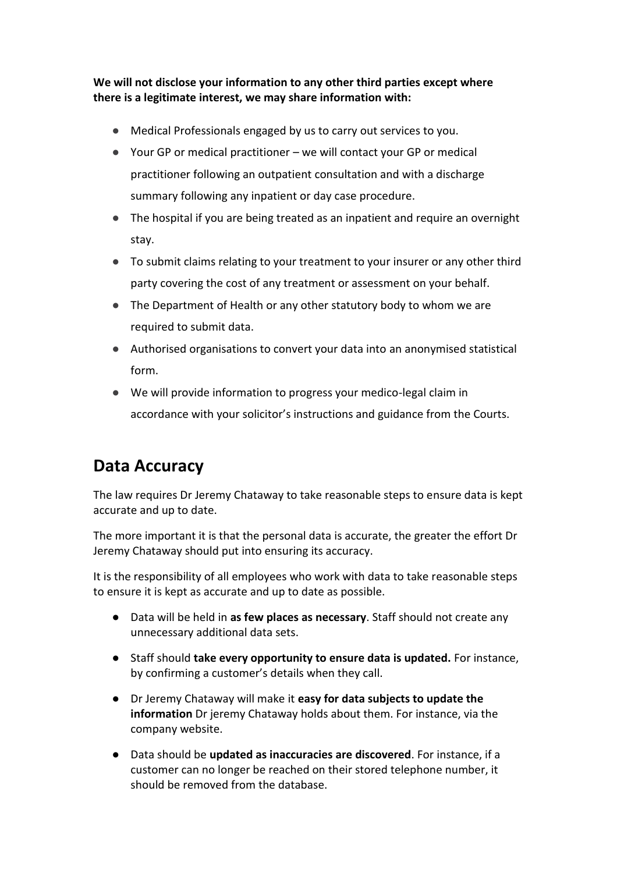**We will not disclose your information to any other third parties except where there is a legitimate interest, we may share information with:**

- Medical Professionals engaged by us to carry out services to you.
- Your GP or medical practitioner we will contact your GP or medical practitioner following an outpatient consultation and with a discharge summary following any inpatient or day case procedure.
- The hospital if you are being treated as an inpatient and require an overnight stay.
- To submit claims relating to your treatment to your insurer or any other third party covering the cost of any treatment or assessment on your behalf.
- The Department of Health or any other statutory body to whom we are required to submit data.
- Authorised organisations to convert your data into an anonymised statistical form.
- We will provide information to progress your medico-legal claim in accordance with your solicitor's instructions and guidance from the Courts.

# **Data Accuracy**

The law requires Dr Jeremy Chataway to take reasonable steps to ensure data is kept accurate and up to date.

The more important it is that the personal data is accurate, the greater the effort Dr Jeremy Chataway should put into ensuring its accuracy.

It is the responsibility of all employees who work with data to take reasonable steps to ensure it is kept as accurate and up to date as possible.

- Data will be held in **as few places as necessary**. Staff should not create any unnecessary additional data sets.
- Staff should **take every opportunity to ensure data is updated.** For instance, by confirming a customer's details when they call.
- Dr Jeremy Chataway will make it **easy for data subjects to update the information** Dr jeremy Chataway holds about them. For instance, via the company website.
- Data should be **updated as inaccuracies are discovered**. For instance, if a customer can no longer be reached on their stored telephone number, it should be removed from the database.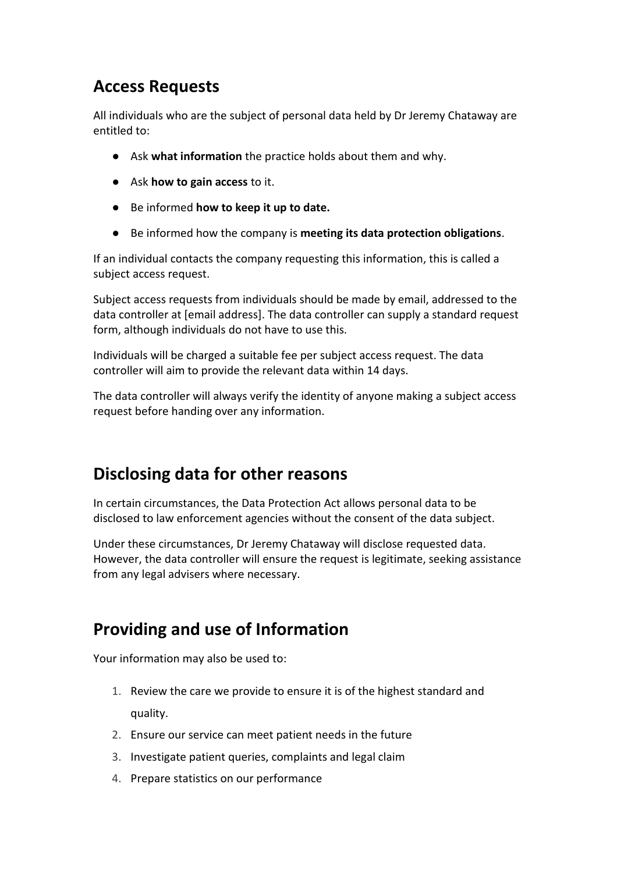# **Access Requests**

All individuals who are the subject of personal data held by Dr Jeremy Chataway are entitled to:

- Ask **what information** the practice holds about them and why.
- Ask **how to gain access** to it.
- Be informed **how to keep it up to date.**
- Be informed how the company is **meeting its data protection obligations**.

If an individual contacts the company requesting this information, this is called a subject access request.

Subject access requests from individuals should be made by email, addressed to the data controller at [email address]. The data controller can supply a standard request form, although individuals do not have to use this.

Individuals will be charged a suitable fee per subject access request. The data controller will aim to provide the relevant data within 14 days.

The data controller will always verify the identity of anyone making a subject access request before handing over any information.

# **Disclosing data for other reasons**

In certain circumstances, the Data Protection Act allows personal data to be disclosed to law enforcement agencies without the consent of the data subject.

Under these circumstances, Dr Jeremy Chataway will disclose requested data. However, the data controller will ensure the request is legitimate, seeking assistance from any legal advisers where necessary.

# **Providing and use of Information**

Your information may also be used to:

- 1. Review the care we provide to ensure it is of the highest standard and quality.
- 2. Ensure our service can meet patient needs in the future
- 3. Investigate patient queries, complaints and legal claim
- 4. Prepare statistics on our performance